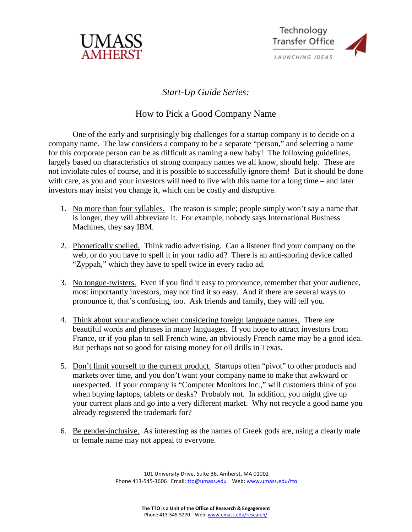



## *Start-Up Guide Series:*

## How to Pick a Good Company Name

One of the early and surprisingly big challenges for a startup company is to decide on a company name. The law considers a company to be a separate "person," and selecting a name for this corporate person can be as difficult as naming a new baby! The following guidelines, largely based on characteristics of strong company names we all know, should help. These are not inviolate rules of course, and it is possible to successfully ignore them! But it should be done with care, as you and your investors will need to live with this name for a long time – and later investors may insist you change it, which can be costly and disruptive.

- 1. No more than four syllables. The reason is simple; people simply won't say a name that is longer, they will abbreviate it. For example, nobody says International Business Machines, they say IBM.
- 2. Phonetically spelled. Think radio advertising. Can a listener find your company on the web, or do you have to spell it in your radio ad? There is an anti-snoring device called "Zyppah," which they have to spell twice in every radio ad.
- 3. No tongue-twisters. Even if you find it easy to pronounce, remember that your audience, most importantly investors, may not find it so easy. And if there are several ways to pronounce it, that's confusing, too. Ask friends and family, they will tell you.
- 4. Think about your audience when considering foreign language names. There are beautiful words and phrases in many languages. If you hope to attract investors from France, or if you plan to sell French wine, an obviously French name may be a good idea. But perhaps not so good for raising money for oil drills in Texas.
- 5. Don't limit yourself to the current product. Startups often "pivot" to other products and markets over time, and you don't want your company name to make that awkward or unexpected. If your company is "Computer Monitors Inc.," will customers think of you when buying laptops, tablets or desks? Probably not. In addition, you might give up your current plans and go into a very different market. Why not recycle a good name you already registered the trademark for?
- 6. Be gender-inclusive. As interesting as the names of Greek gods are, using a clearly male or female name may not appeal to everyone.